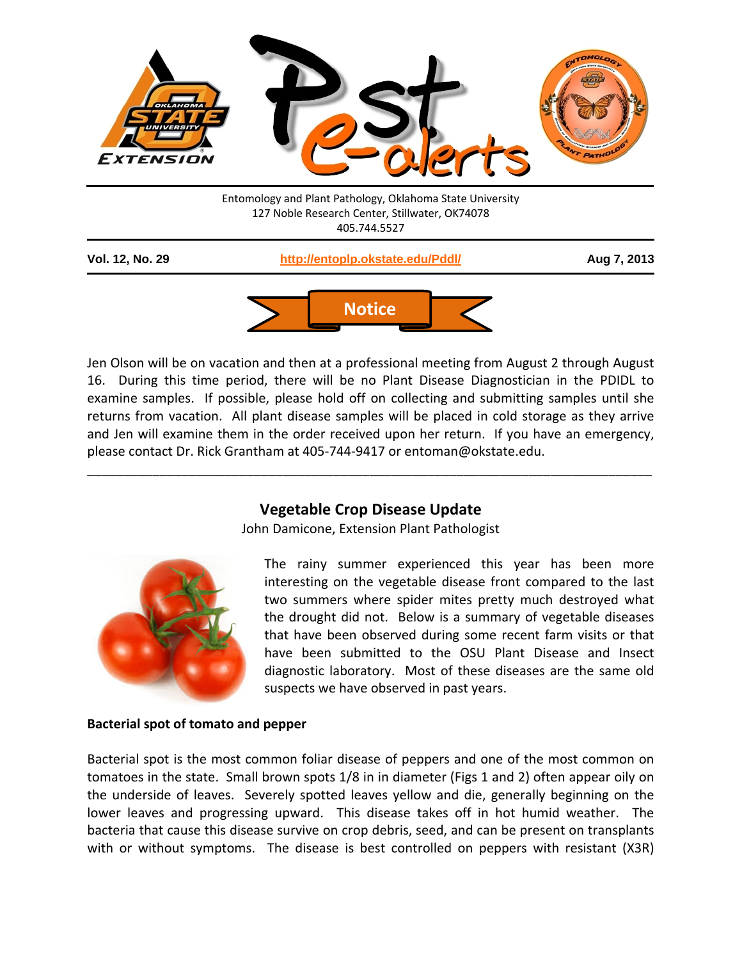



Jen Olson will be on vacation and then at a professional meeting from August 2 through August 16. During this time period, there will be no Plant Disease Diagnostician in the PDIDL to examine samples. If possible, please hold off on collecting and submitting samples until she returns from vacation. All plant disease samples will be placed in cold storage as they arrive and Jen will examine them in the order received upon her return. If you have an emergency, please contact Dr. Rick Grantham at 405-744-9417 or entoman@okstate.edu.

# **Vegetable Crop Disease Update**

\_\_\_\_\_\_\_\_\_\_\_\_\_\_\_\_\_\_\_\_\_\_\_\_\_\_\_\_\_\_\_\_\_\_\_\_\_\_\_\_\_\_\_\_\_\_\_\_\_\_\_\_\_\_\_\_\_\_\_\_\_\_\_\_\_\_\_\_\_\_\_\_\_\_\_\_\_\_

John Damicone, Extension Plant Pathologist



The rainy summer experienced this year has been more interesting on the vegetable disease front compared to the last two summers where spider mites pretty much destroyed what the drought did not. Below is a summary of vegetable diseases that have been observed during some recent farm visits or that have been submitted to the OSU Plant Disease and Insect diagnostic laboratory. Most of these diseases are the same old suspects we have observed in past years.

## **Bacterial spot of tomato and pepper**

Bacterial spot is the most common foliar disease of peppers and one of the most common on tomatoes in the state. Small brown spots 1/8 in in diameter (Figs 1 and 2) often appear oily on the underside of leaves. Severely spotted leaves yellow and die, generally beginning on the lower leaves and progressing upward. This disease takes off in hot humid weather. The bacteria that cause this disease survive on crop debris, seed, and can be present on transplants with or without symptoms. The disease is best controlled on peppers with resistant (X3R)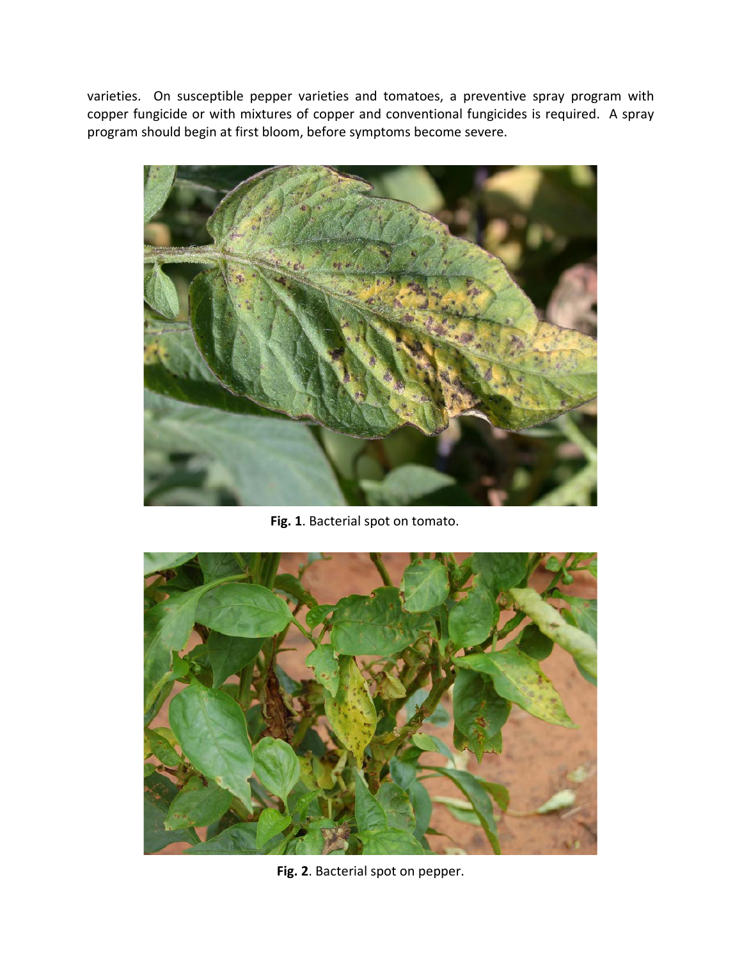varieties. On susceptible pepper varieties and tomatoes, a preventive spray program with copper fungicide or with mixtures of copper and conventional fungicides is required. A spray program should begin at first bloom, before symptoms become severe.



**Fig. 1**. Bacterial spot on tomato.



**Fig. 2**. Bacterial spot on pepper.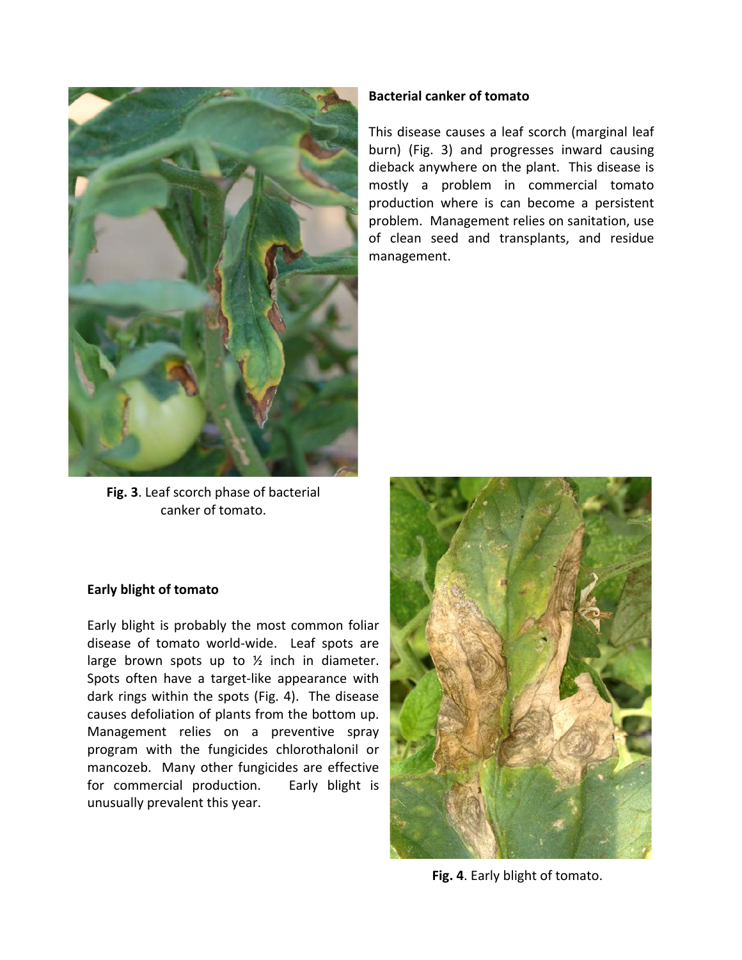

**Fig. 3**. Leaf scorch phase of bacterial canker of tomato.

### **Bacterial canker of tomato**

This disease causes a leaf scorch (marginal leaf burn) (Fig. 3) and progresses inward causing dieback anywhere on the plant. This disease is mostly a problem in commercial tomato production where is can become a persistent problem. Management relies on sanitation, use of clean seed and transplants, and residue management.

#### **Early blight of tomato**

Early blight is probably the most common foliar disease of tomato world-wide. Leaf spots are large brown spots up to  $\frac{1}{2}$  inch in diameter. Spots often have a target-like appearance with dark rings within the spots (Fig. 4). The disease causes defoliation of plants from the bottom up. Management relies on a preventive spray program with the fungicides chlorothalonil or mancozeb. Many other fungicides are effective for commercial production. Early blight is unusually prevalent this year.



**Fig. 4**. Early blight of tomato.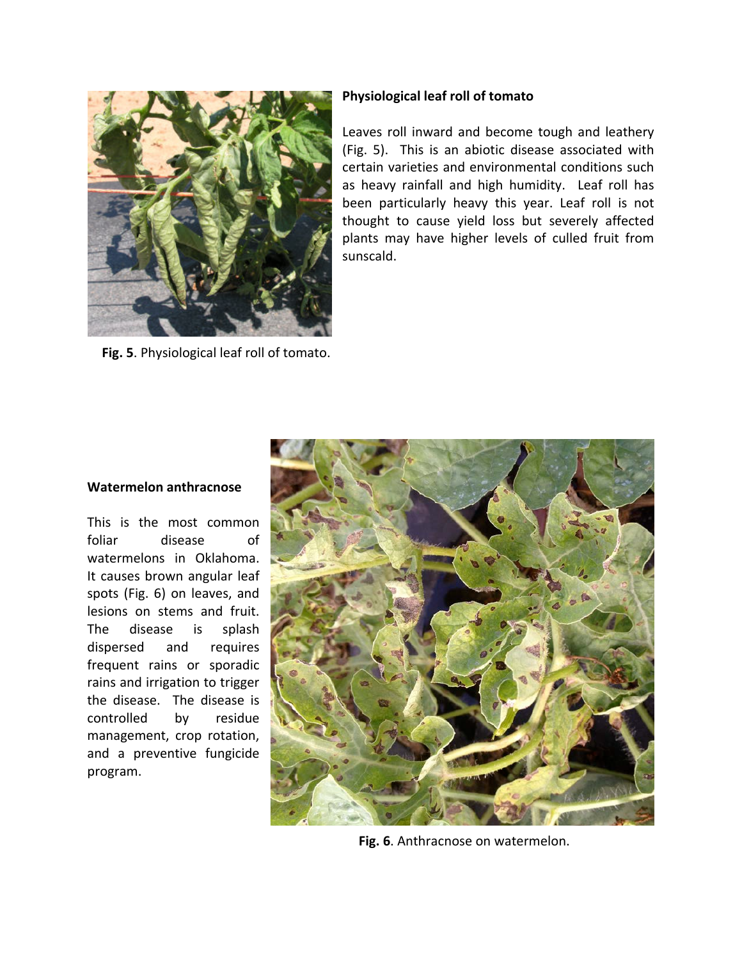

**Fig. 5**. Physiological leaf roll of tomato.

### **Physiological leaf roll of tomato**

Leaves roll inward and become tough and leathery (Fig. 5). This is an abiotic disease associated with certain varieties and environmental conditions such as heavy rainfall and high humidity. Leaf roll has been particularly heavy this year. Leaf roll is not thought to cause yield loss but severely affected plants may have higher levels of culled fruit from sunscald.

## **Watermelon anthracnose**

This is the most common foliar disease of watermelons in Oklahoma. It causes brown angular leaf spots (Fig. 6) on leaves, and lesions on stems and fruit. The disease is splash dispersed and requires frequent rains or sporadic rains and irrigation to trigger the disease. The disease is controlled by residue management, crop rotation, and a preventive fungicide program.



**Fig. 6**. Anthracnose on watermelon.